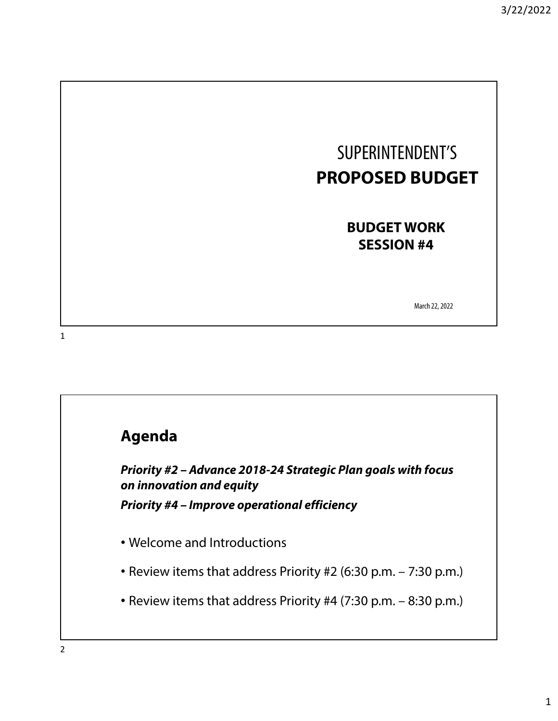

**BUDGET WORK SESSION #4**

March 22, 2022

1

### **Agenda**

**Priority #2 – Advance 2018-24 Strategic Plan goals with focus on innovation and equity Priority #4 – Improve operational efficiency**

- Welcome and Introductions
- Review items that address Priority #2 (6:30 p.m. 7:30 p.m.)
- Review items that address Priority #4 (7:30 p.m. 8:30 p.m.)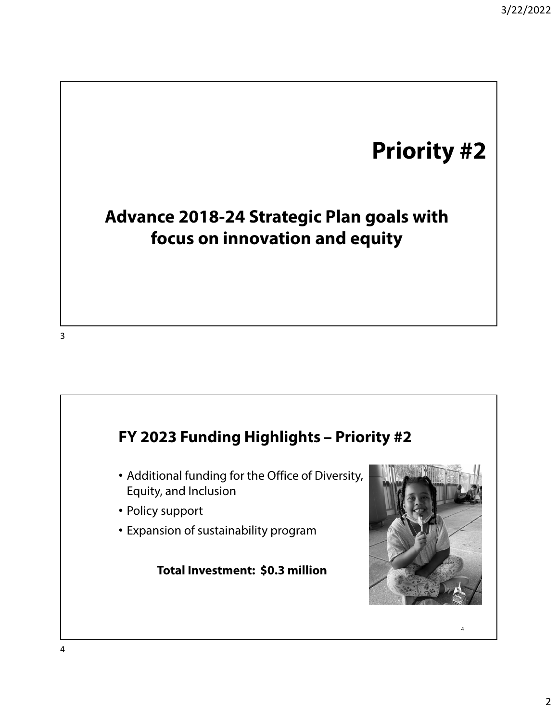# **Priority #2**

# **Advance 2018-24 Strategic Plan goals with focus on innovation and equity**

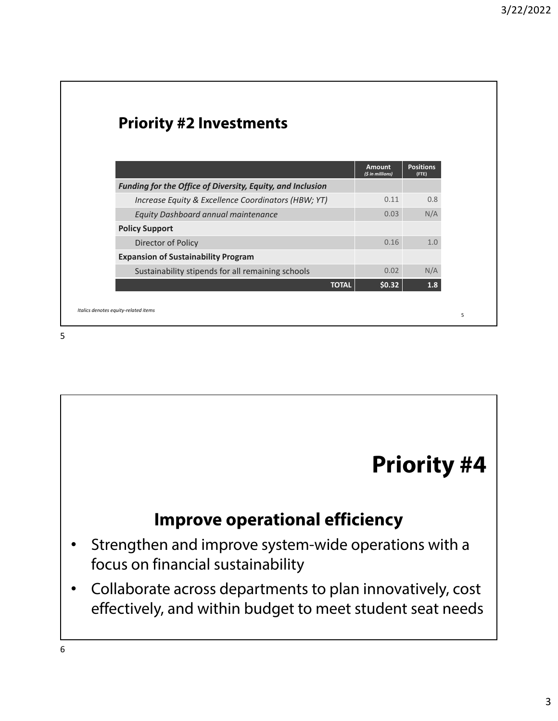| <b>Priority #2 Investments</b>                             |                            |                           |
|------------------------------------------------------------|----------------------------|---------------------------|
|                                                            |                            |                           |
|                                                            | Amount<br>(\$ in millions) | <b>Positions</b><br>(FTE) |
| Funding for the Office of Diversity, Equity, and Inclusion |                            |                           |
| Increase Equity & Excellence Coordinators (HBW; YT)        | 0.11                       | 0.8                       |
| Equity Dashboard annual maintenance                        | 0.03                       | N/A                       |
| <b>Policy Support</b>                                      |                            |                           |
| Director of Policy                                         | 0.16                       | 1.0                       |
| <b>Expansion of Sustainability Program</b>                 |                            |                           |
| Sustainability stipends for all remaining schools          | 0.02                       | N/A                       |
| <b>TOTAL</b>                                               | \$0.32\$                   | 1.8                       |

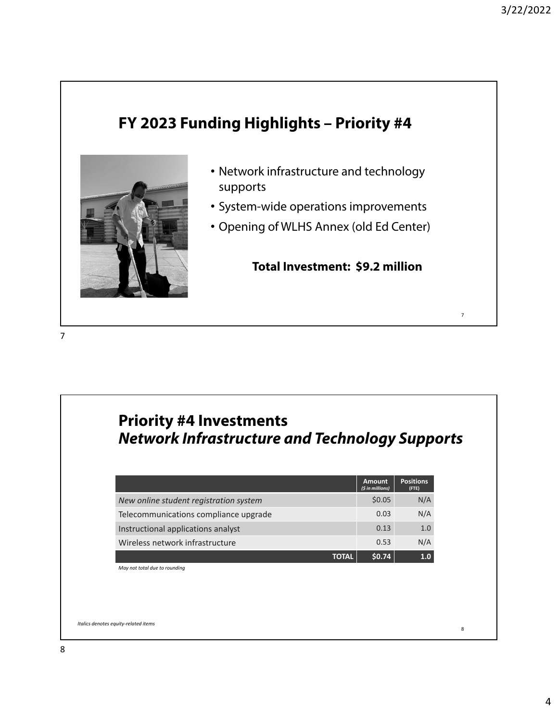# **FY 2023 Funding Highlights – Priority #4**



- Network infrastructure and technology supports
- System-wide operations improvements
- Opening of WLHS Annex (old Ed Center)

**Total Investment: \$9.2 million**

# **Priority #4 Investments Network Infrastructure and Technology Supports**

|                                        | <b>Amount</b><br>(\$ in millions) | <b>Positions</b><br>(FTE) |
|----------------------------------------|-----------------------------------|---------------------------|
| New online student registration system | \$0.05                            | N/A                       |
| Telecommunications compliance upgrade  | 0.03                              | N/A                       |
| Instructional applications analyst     | 0.13                              | 1.0                       |
| Wireless network infrastructure        | 0.53                              | N/A                       |
| TOTAL                                  | \$0.74                            | 1.0                       |

*May not total due to rounding*

<sup>8</sup> *Italics denotes equity‐related items*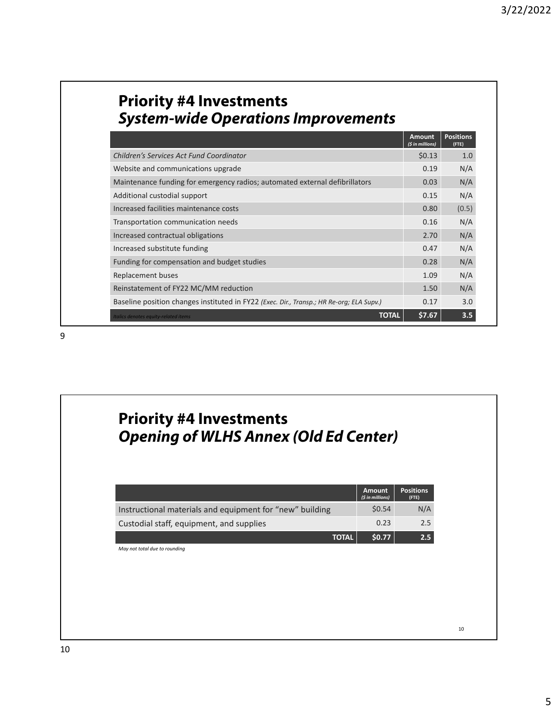|                                                                                          | <b>Amount</b><br>(\$ in millions) | <b>Positions</b><br>(FTE) |
|------------------------------------------------------------------------------------------|-----------------------------------|---------------------------|
| Children's Services Act Fund Coordinator                                                 | \$0.13                            | 1.0                       |
| Website and communications upgrade                                                       |                                   | N/A                       |
| Maintenance funding for emergency radios; automated external defibrillators              |                                   | N/A                       |
| Additional custodial support                                                             |                                   | N/A                       |
| Increased facilities maintenance costs                                                   |                                   | (0.5)                     |
| Transportation communication needs                                                       |                                   | N/A                       |
| Increased contractual obligations                                                        | 2.70                              | N/A                       |
| Increased substitute funding                                                             |                                   | N/A                       |
| Funding for compensation and budget studies                                              |                                   | N/A                       |
| Replacement buses                                                                        |                                   | N/A                       |
| Reinstatement of FY22 MC/MM reduction                                                    |                                   | N/A                       |
| Baseline position changes instituted in FY22 (Exec. Dir., Transp.; HR Re-org; ELA Supv.) | 0.17                              | 3.0                       |
| <b>TOTAL</b><br>Italics denotes equity-related items                                     | \$7.67                            | 3.5                       |

# **Priority #4 Investments Opening of WLHS Annex (Old Ed Center)**

|                                                          | <b>Amount</b><br>(\$ in millions) | <b>Positions</b><br>(FTE) |
|----------------------------------------------------------|-----------------------------------|---------------------------|
| Instructional materials and equipment for "new" building | \$0.54                            | N/A                       |
| Custodial staff, equipment, and supplies                 | 0.23                              | 2.5                       |
| <b>TOTAL</b>                                             | \$0.77                            | 2.5                       |

*May not total due to rounding*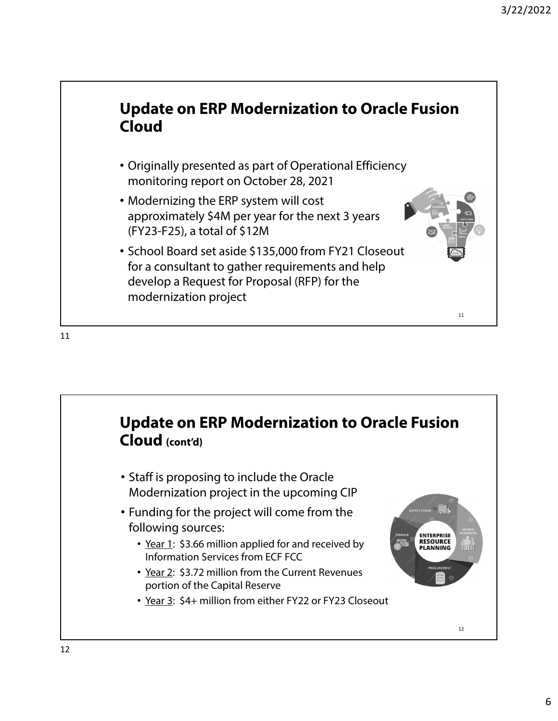# **Update on ERP Modernization to Oracle Fusion Cloud**

- Originally presented as part of Operational Efficiency monitoring report on October 28, 2021
- Modernizing the ERP system will cost approximately \$4M per year for the next 3 years (FY23-F25), a total of \$12M
- School Board set aside \$135,000 from FY21 Closeout for a consultant to gather requirements and help develop a Request for Proposal (RFP) for the modernization project

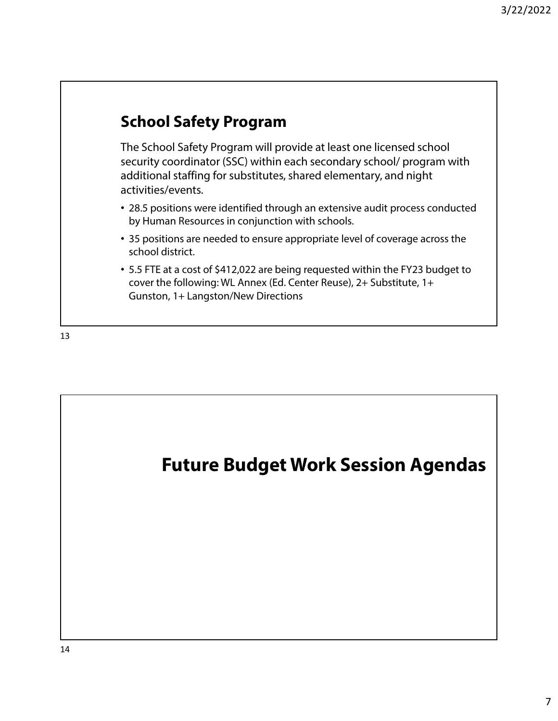# **School Safety Program**

The School Safety Program will provide at least one licensed school security coordinator (SSC) within each secondary school/ program with additional staffing for substitutes, shared elementary, and night activities/events.

- 28.5 positions were identified through an extensive audit process conducted by Human Resources in conjunction with schools.
- 35 positions are needed to ensure appropriate level of coverage across the school district.
- 5.5 FTE at a cost of \$412,022 are being requested within the FY23 budget to cover the following: WL Annex (Ed. Center Reuse), 2+ Substitute, 1+ Gunston, 1+ Langston/New Directions

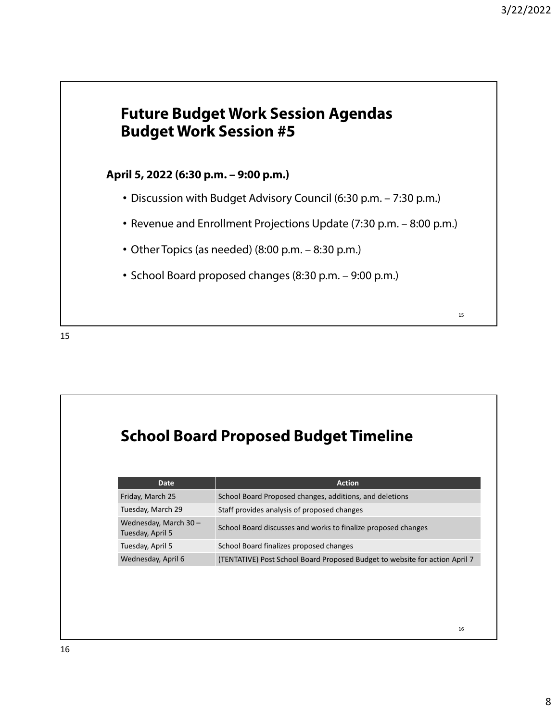### **Future Budget Work Session Agendas Budget Work Session #5**

#### **April 5, 2022 (6:30 p.m. – 9:00 p.m.)**

- Discussion with Budget Advisory Council (6:30 p.m. 7:30 p.m.)
- Revenue and Enrollment Projections Update (7:30 p.m. 8:00 p.m.)
- Other Topics (as needed) (8:00 p.m. 8:30 p.m.)
- School Board proposed changes (8:30 p.m. 9:00 p.m.)

15

# **School Board Proposed Budget Timeline**

| <b>Date</b>                              | <b>Action</b>                                                               |
|------------------------------------------|-----------------------------------------------------------------------------|
| Friday, March 25                         | School Board Proposed changes, additions, and deletions                     |
| Tuesday, March 29                        | Staff provides analysis of proposed changes                                 |
| Wednesday, March 30-<br>Tuesday, April 5 | School Board discusses and works to finalize proposed changes               |
| Tuesday, April 5                         | School Board finalizes proposed changes                                     |
| Wednesday, April 6                       | (TENTATIVE) Post School Board Proposed Budget to website for action April 7 |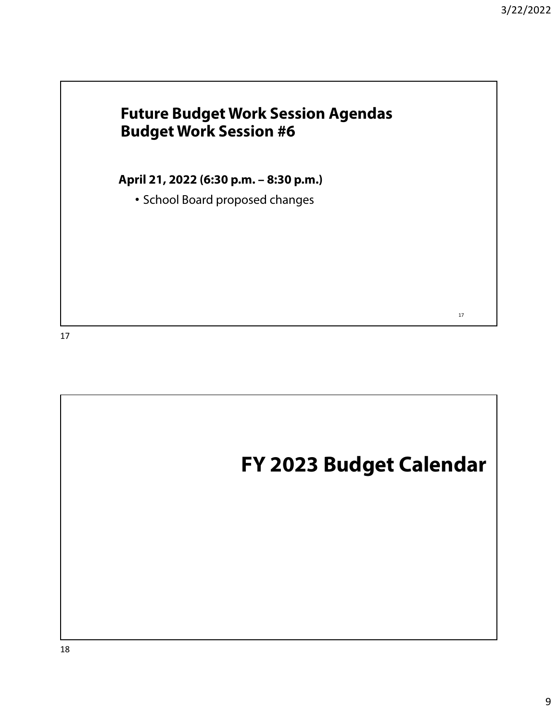# **Future Budget Work Session Agendas Budget Work Session #6**

**April 21, 2022 (6:30 p.m. – 8:30 p.m.)** 

• School Board proposed changes